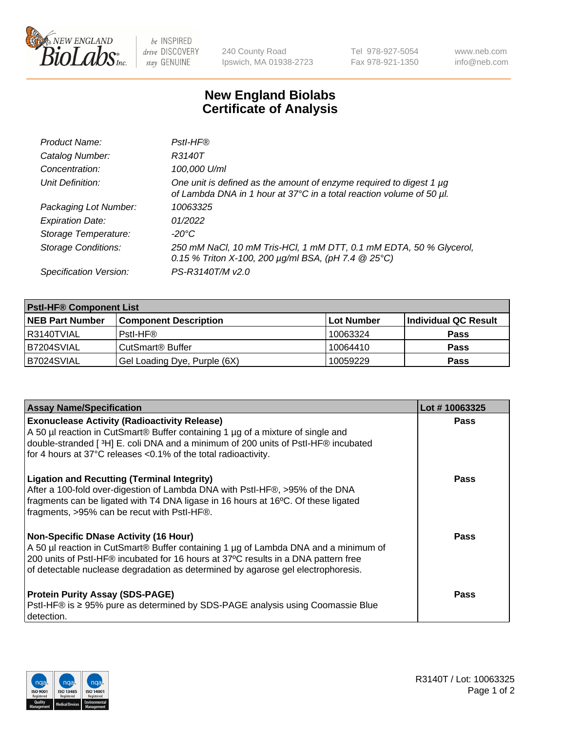

 $be$  INSPIRED drive DISCOVERY stay GENUINE

240 County Road Ipswich, MA 01938-2723 Tel 978-927-5054 Fax 978-921-1350 www.neb.com info@neb.com

## **New England Biolabs Certificate of Analysis**

| Product Name:              | Pstl-HF®                                                                                                                                             |
|----------------------------|------------------------------------------------------------------------------------------------------------------------------------------------------|
| Catalog Number:            | R3140T                                                                                                                                               |
| Concentration:             | 100,000 U/ml                                                                                                                                         |
| Unit Definition:           | One unit is defined as the amount of enzyme required to digest 1 µg<br>of Lambda DNA in 1 hour at 37°C in a total reaction volume of 50 µl.          |
| Packaging Lot Number:      | 10063325                                                                                                                                             |
| <b>Expiration Date:</b>    | 01/2022                                                                                                                                              |
| Storage Temperature:       | $-20^{\circ}$ C                                                                                                                                      |
| <b>Storage Conditions:</b> | 250 mM NaCl, 10 mM Tris-HCl, 1 mM DTT, 0.1 mM EDTA, 50 % Glycerol,<br>0.15 % Triton X-100, 200 $\mu$ g/ml BSA, (pH 7.4 $\textcircled{25}^{\circ}$ C) |
| Specification Version:     | PS-R3140T/M v2.0                                                                                                                                     |

| <b>PstI-HF® Component List</b> |                                    |                   |                      |  |
|--------------------------------|------------------------------------|-------------------|----------------------|--|
| <b>NEB Part Number</b>         | <b>Component Description</b>       | <b>Lot Number</b> | Individual QC Result |  |
| I R3140TVIAL                   | Pstl-HF®                           | 10063324          | <b>Pass</b>          |  |
| B7204SVIAL                     | <b>CutSmart<sup>®</sup> Buffer</b> | 10064410          | <b>Pass</b>          |  |
| B7024SVIAL                     | Gel Loading Dye, Purple (6X)       | 10059229          | <b>Pass</b>          |  |

| <b>Assay Name/Specification</b>                                                                                                                                                                                                                                                                               | Lot #10063325 |
|---------------------------------------------------------------------------------------------------------------------------------------------------------------------------------------------------------------------------------------------------------------------------------------------------------------|---------------|
| <b>Exonuclease Activity (Radioactivity Release)</b><br>A 50 µl reaction in CutSmart® Buffer containing 1 µg of a mixture of single and                                                                                                                                                                        | <b>Pass</b>   |
| double-stranded [3H] E. coli DNA and a minimum of 200 units of PstI-HF® incubated<br>for 4 hours at 37°C releases <0.1% of the total radioactivity.                                                                                                                                                           |               |
| <b>Ligation and Recutting (Terminal Integrity)</b><br>After a 100-fold over-digestion of Lambda DNA with Pstl-HF®, >95% of the DNA<br>fragments can be ligated with T4 DNA ligase in 16 hours at 16°C. Of these ligated<br>fragments, >95% can be recut with PstI-HF®.                                        | Pass          |
| <b>Non-Specific DNase Activity (16 Hour)</b><br>A 50 µl reaction in CutSmart® Buffer containing 1 µg of Lambda DNA and a minimum of<br>200 units of PstI-HF® incubated for 16 hours at 37°C results in a DNA pattern free<br>of detectable nuclease degradation as determined by agarose gel electrophoresis. | <b>Pass</b>   |
| <b>Protein Purity Assay (SDS-PAGE)</b><br>PstI-HF® is ≥ 95% pure as determined by SDS-PAGE analysis using Coomassie Blue<br>detection.                                                                                                                                                                        | Pass          |